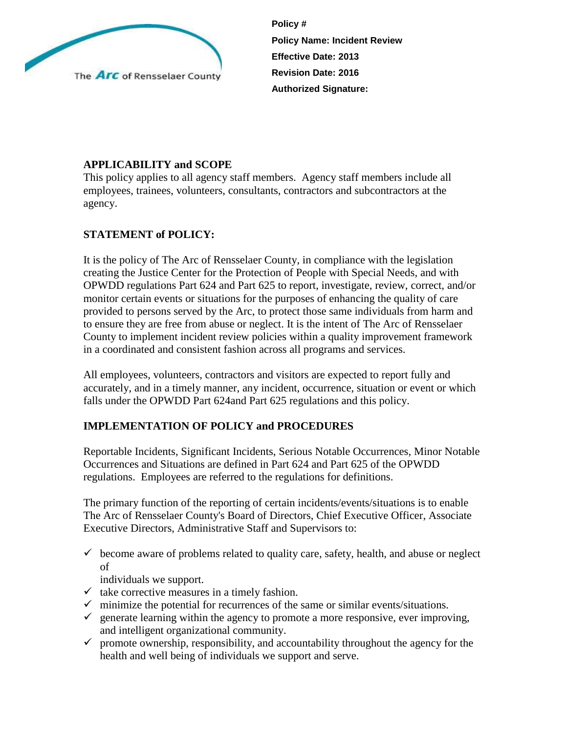

**Policy # Policy Name: Incident Review Effective Date: 2013 Revision Date: 2016 Authorized Signature:**

# **APPLICABILITY and SCOPE**

This policy applies to all agency staff members. Agency staff members include all employees, trainees, volunteers, consultants, contractors and subcontractors at the agency.

# **STATEMENT of POLICY:**

It is the policy of The Arc of Rensselaer County, in compliance with the legislation creating the Justice Center for the Protection of People with Special Needs, and with OPWDD regulations Part 624 and Part 625 to report, investigate, review, correct, and/or monitor certain events or situations for the purposes of enhancing the quality of care provided to persons served by the Arc, to protect those same individuals from harm and to ensure they are free from abuse or neglect. It is the intent of The Arc of Rensselaer County to implement incident review policies within a quality improvement framework in a coordinated and consistent fashion across all programs and services.

All employees, volunteers, contractors and visitors are expected to report fully and accurately, and in a timely manner, any incident, occurrence, situation or event or which falls under the OPWDD Part 624and Part 625 regulations and this policy.

## **IMPLEMENTATION OF POLICY and PROCEDURES**

Reportable Incidents, Significant Incidents, Serious Notable Occurrences, Minor Notable Occurrences and Situations are defined in Part 624 and Part 625 of the OPWDD regulations. Employees are referred to the regulations for definitions.

The primary function of the reporting of certain incidents/events/situations is to enable The Arc of Rensselaer County's Board of Directors, Chief Executive Officer, Associate Executive Directors, Administrative Staff and Supervisors to:

 $\checkmark$  become aware of problems related to quality care, safety, health, and abuse or neglect of

individuals we support.

- $\checkmark$  take corrective measures in a timely fashion.
- $\checkmark$  minimize the potential for recurrences of the same or similar events/situations.
- $\checkmark$  generate learning within the agency to promote a more responsive, ever improving, and intelligent organizational community.
- $\checkmark$  promote ownership, responsibility, and accountability throughout the agency for the health and well being of individuals we support and serve.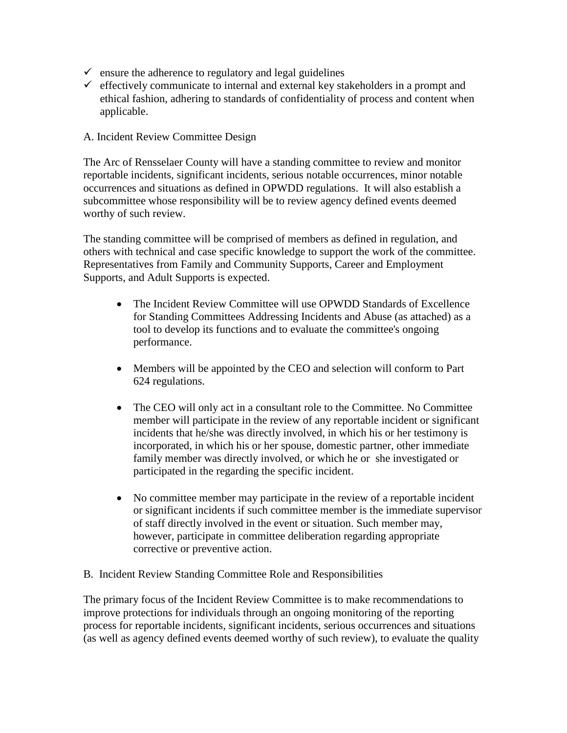- $\checkmark$  ensure the adherence to regulatory and legal guidelines
- $\checkmark$  effectively communicate to internal and external key stakeholders in a prompt and ethical fashion, adhering to standards of confidentiality of process and content when applicable.
- A. Incident Review Committee Design

The Arc of Rensselaer County will have a standing committee to review and monitor reportable incidents, significant incidents, serious notable occurrences, minor notable occurrences and situations as defined in OPWDD regulations. It will also establish a subcommittee whose responsibility will be to review agency defined events deemed worthy of such review.

The standing committee will be comprised of members as defined in regulation, and others with technical and case specific knowledge to support the work of the committee. Representatives from Family and Community Supports, Career and Employment Supports, and Adult Supports is expected.

- The Incident Review Committee will use OPWDD Standards of Excellence for Standing Committees Addressing Incidents and Abuse (as attached) as a tool to develop its functions and to evaluate the committee's ongoing performance.
- Members will be appointed by the CEO and selection will conform to Part 624 regulations.
- The CEO will only act in a consultant role to the Committee. No Committee member will participate in the review of any reportable incident or significant incidents that he/she was directly involved, in which his or her testimony is incorporated, in which his or her spouse, domestic partner, other immediate family member was directly involved, or which he or she investigated or participated in the regarding the specific incident.
- No committee member may participate in the review of a reportable incident or significant incidents if such committee member is the immediate supervisor of staff directly involved in the event or situation. Such member may, however, participate in committee deliberation regarding appropriate corrective or preventive action.

#### B. Incident Review Standing Committee Role and Responsibilities

The primary focus of the Incident Review Committee is to make recommendations to improve protections for individuals through an ongoing monitoring of the reporting process for reportable incidents, significant incidents, serious occurrences and situations (as well as agency defined events deemed worthy of such review), to evaluate the quality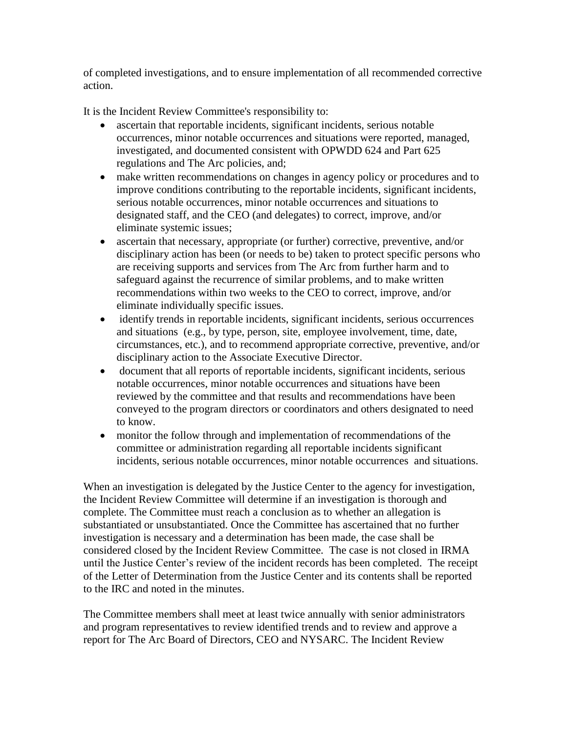of completed investigations, and to ensure implementation of all recommended corrective action.

It is the Incident Review Committee's responsibility to:

- ascertain that reportable incidents, significant incidents, serious notable occurrences, minor notable occurrences and situations were reported, managed, investigated, and documented consistent with OPWDD 624 and Part 625 regulations and The Arc policies, and;
- make written recommendations on changes in agency policy or procedures and to improve conditions contributing to the reportable incidents, significant incidents, serious notable occurrences, minor notable occurrences and situations to designated staff, and the CEO (and delegates) to correct, improve, and/or eliminate systemic issues;
- ascertain that necessary, appropriate (or further) corrective, preventive, and/or disciplinary action has been (or needs to be) taken to protect specific persons who are receiving supports and services from The Arc from further harm and to safeguard against the recurrence of similar problems, and to make written recommendations within two weeks to the CEO to correct, improve, and/or eliminate individually specific issues.
- identify trends in reportable incidents, significant incidents, serious occurrences and situations (e.g., by type, person, site, employee involvement, time, date, circumstances, etc.), and to recommend appropriate corrective, preventive, and/or disciplinary action to the Associate Executive Director.
- document that all reports of reportable incidents, significant incidents, serious notable occurrences, minor notable occurrences and situations have been reviewed by the committee and that results and recommendations have been conveyed to the program directors or coordinators and others designated to need to know.
- monitor the follow through and implementation of recommendations of the committee or administration regarding all reportable incidents significant incidents, serious notable occurrences, minor notable occurrences and situations.

When an investigation is delegated by the Justice Center to the agency for investigation, the Incident Review Committee will determine if an investigation is thorough and complete. The Committee must reach a conclusion as to whether an allegation is substantiated or unsubstantiated. Once the Committee has ascertained that no further investigation is necessary and a determination has been made, the case shall be considered closed by the Incident Review Committee. The case is not closed in IRMA until the Justice Center's review of the incident records has been completed. The receipt of the Letter of Determination from the Justice Center and its contents shall be reported to the IRC and noted in the minutes.

The Committee members shall meet at least twice annually with senior administrators and program representatives to review identified trends and to review and approve a report for The Arc Board of Directors, CEO and NYSARC. The Incident Review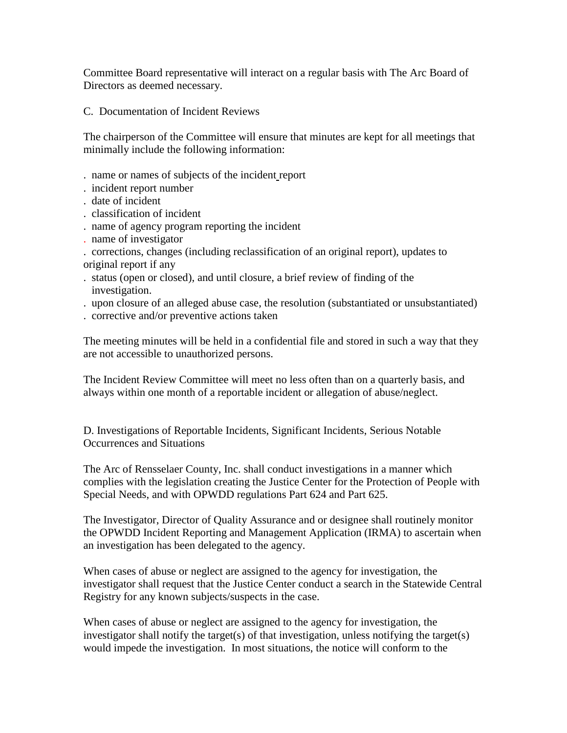Committee Board representative will interact on a regular basis with The Arc Board of Directors as deemed necessary.

C. Documentation of Incident Reviews

The chairperson of the Committee will ensure that minutes are kept for all meetings that minimally include the following information:

- . name or names of subjects of the incident report
- . incident report number
- . date of incident
- . classification of incident
- . name of agency program reporting the incident
- . name of investigator

. corrections, changes (including reclassification of an original report), updates to original report if any

- . status (open or closed), and until closure, a brief review of finding of the investigation.
- . upon closure of an alleged abuse case, the resolution (substantiated or unsubstantiated)
- . corrective and/or preventive actions taken

The meeting minutes will be held in a confidential file and stored in such a way that they are not accessible to unauthorized persons.

The Incident Review Committee will meet no less often than on a quarterly basis, and always within one month of a reportable incident or allegation of abuse/neglect.

D. Investigations of Reportable Incidents, Significant Incidents, Serious Notable Occurrences and Situations

The Arc of Rensselaer County, Inc. shall conduct investigations in a manner which complies with the legislation creating the Justice Center for the Protection of People with Special Needs, and with OPWDD regulations Part 624 and Part 625.

The Investigator, Director of Quality Assurance and or designee shall routinely monitor the OPWDD Incident Reporting and Management Application (IRMA) to ascertain when an investigation has been delegated to the agency.

When cases of abuse or neglect are assigned to the agency for investigation, the investigator shall request that the Justice Center conduct a search in the Statewide Central Registry for any known subjects/suspects in the case.

When cases of abuse or neglect are assigned to the agency for investigation, the investigator shall notify the target(s) of that investigation, unless notifying the target(s) would impede the investigation. In most situations, the notice will conform to the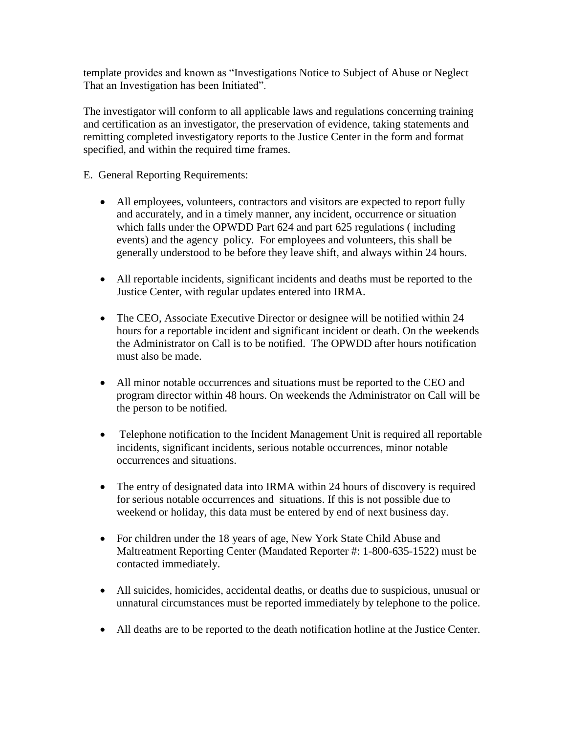template provides and known as "Investigations Notice to Subject of Abuse or Neglect That an Investigation has been Initiated".

The investigator will conform to all applicable laws and regulations concerning training and certification as an investigator, the preservation of evidence, taking statements and remitting completed investigatory reports to the Justice Center in the form and format specified, and within the required time frames.

- E. General Reporting Requirements:
	- All employees, volunteers, contractors and visitors are expected to report fully and accurately, and in a timely manner, any incident, occurrence or situation which falls under the OPWDD Part 624 and part 625 regulations ( including events) and the agency policy. For employees and volunteers, this shall be generally understood to be before they leave shift, and always within 24 hours.
	- All reportable incidents, significant incidents and deaths must be reported to the Justice Center, with regular updates entered into IRMA.
	- The CEO, Associate Executive Director or designee will be notified within 24 hours for a reportable incident and significant incident or death. On the weekends the Administrator on Call is to be notified. The OPWDD after hours notification must also be made.
	- All minor notable occurrences and situations must be reported to the CEO and program director within 48 hours. On weekends the Administrator on Call will be the person to be notified.
	- Telephone notification to the Incident Management Unit is required all reportable incidents, significant incidents, serious notable occurrences, minor notable occurrences and situations.
	- The entry of designated data into IRMA within 24 hours of discovery is required for serious notable occurrences and situations. If this is not possible due to weekend or holiday, this data must be entered by end of next business day.
	- For children under the 18 years of age, New York State Child Abuse and Maltreatment Reporting Center (Mandated Reporter #: 1-800-635-1522) must be contacted immediately.
	- All suicides, homicides, accidental deaths, or deaths due to suspicious, unusual or unnatural circumstances must be reported immediately by telephone to the police.
	- All deaths are to be reported to the death notification hotline at the Justice Center.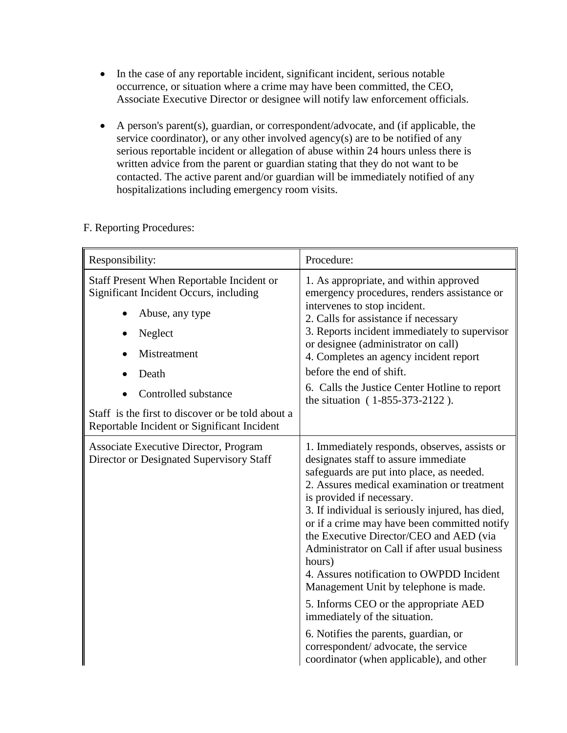- In the case of any reportable incident, significant incident, serious notable occurrence, or situation where a crime may have been committed, the CEO, Associate Executive Director or designee will notify law enforcement officials.
- A person's parent(s), guardian, or correspondent/advocate, and (if applicable, the service coordinator), or any other involved agency(s) are to be notified of any serious reportable incident or allegation of abuse within 24 hours unless there is written advice from the parent or guardian stating that they do not want to be contacted. The active parent and/or guardian will be immediately notified of any hospitalizations including emergency room visits.

|  | F. Reporting Procedures: |
|--|--------------------------|
|  |                          |

| Responsibility:                                                                                                                                                                                                                                                               | Procedure:                                                                                                                                                                                                                                                                                                                                                                                                                                                                                                                                                                                                                                                                                                            |
|-------------------------------------------------------------------------------------------------------------------------------------------------------------------------------------------------------------------------------------------------------------------------------|-----------------------------------------------------------------------------------------------------------------------------------------------------------------------------------------------------------------------------------------------------------------------------------------------------------------------------------------------------------------------------------------------------------------------------------------------------------------------------------------------------------------------------------------------------------------------------------------------------------------------------------------------------------------------------------------------------------------------|
| Staff Present When Reportable Incident or<br><b>Significant Incident Occurs, including</b><br>Abuse, any type<br>Neglect<br>Mistreatment<br>Death<br>Controlled substance<br>Staff is the first to discover or be told about a<br>Reportable Incident or Significant Incident | 1. As appropriate, and within approved<br>emergency procedures, renders assistance or<br>intervenes to stop incident.<br>2. Calls for assistance if necessary<br>3. Reports incident immediately to supervisor<br>or designee (administrator on call)<br>4. Completes an agency incident report<br>before the end of shift.<br>6. Calls the Justice Center Hotline to report<br>the situation (1-855-373-2122).                                                                                                                                                                                                                                                                                                       |
| Associate Executive Director, Program<br>Director or Designated Supervisory Staff                                                                                                                                                                                             | 1. Immediately responds, observes, assists or<br>designates staff to assure immediate<br>safeguards are put into place, as needed.<br>2. Assures medical examination or treatment<br>is provided if necessary.<br>3. If individual is seriously injured, has died,<br>or if a crime may have been committed notify<br>the Executive Director/CEO and AED (via<br>Administrator on Call if after usual business<br>hours)<br>4. Assures notification to OWPDD Incident<br>Management Unit by telephone is made.<br>5. Informs CEO or the appropriate AED<br>immediately of the situation.<br>6. Notifies the parents, guardian, or<br>correspondent/ advocate, the service<br>coordinator (when applicable), and other |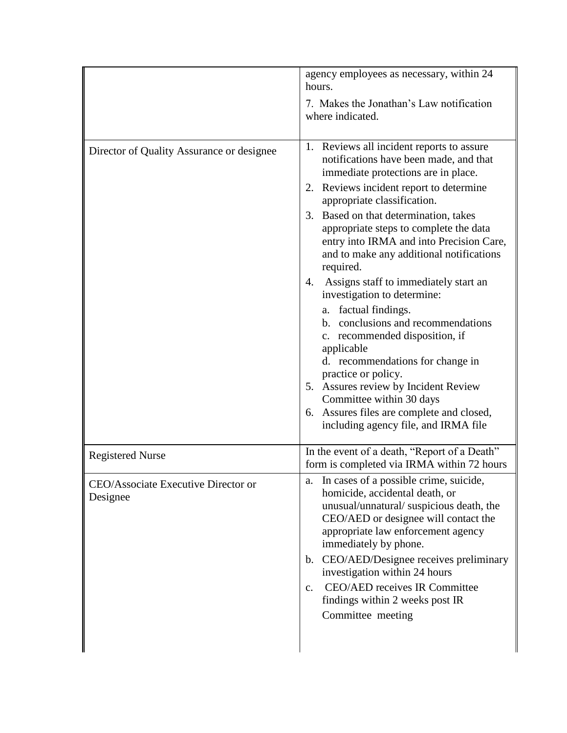|                                                 | agency employees as necessary, within 24<br>hours.                                                                                                                                                                                                                                                                                                                                                                                                                                                                                                                                                                                                                                                                                                                                                              |
|-------------------------------------------------|-----------------------------------------------------------------------------------------------------------------------------------------------------------------------------------------------------------------------------------------------------------------------------------------------------------------------------------------------------------------------------------------------------------------------------------------------------------------------------------------------------------------------------------------------------------------------------------------------------------------------------------------------------------------------------------------------------------------------------------------------------------------------------------------------------------------|
|                                                 | 7. Makes the Jonathan's Law notification<br>where indicated.                                                                                                                                                                                                                                                                                                                                                                                                                                                                                                                                                                                                                                                                                                                                                    |
| Director of Quality Assurance or designee       | 1. Reviews all incident reports to assure<br>notifications have been made, and that<br>immediate protections are in place.<br>2. Reviews incident report to determine<br>appropriate classification.<br>Based on that determination, takes<br>3.<br>appropriate steps to complete the data<br>entry into IRMA and into Precision Care,<br>and to make any additional notifications<br>required.<br>Assigns staff to immediately start an<br>4.<br>investigation to determine:<br>a. factual findings.<br>b. conclusions and recommendations<br>c. recommended disposition, if<br>applicable<br>d. recommendations for change in<br>practice or policy.<br>5. Assures review by Incident Review<br>Committee within 30 days<br>6. Assures files are complete and closed,<br>including agency file, and IRMA file |
| <b>Registered Nurse</b>                         | In the event of a death, "Report of a Death"<br>form is completed via IRMA within 72 hours                                                                                                                                                                                                                                                                                                                                                                                                                                                                                                                                                                                                                                                                                                                      |
| CEO/Associate Executive Director or<br>Designee | In cases of a possible crime, suicide,<br>a.<br>homicide, accidental death, or<br>unusual/unnatural/suspicious death, the<br>CEO/AED or designee will contact the<br>appropriate law enforcement agency<br>immediately by phone.<br>b. CEO/AED/Designee receives preliminary<br>investigation within 24 hours<br><b>CEO/AED receives IR Committee</b><br>$\mathbf{c}$ .<br>findings within 2 weeks post IR<br>Committee meeting                                                                                                                                                                                                                                                                                                                                                                                 |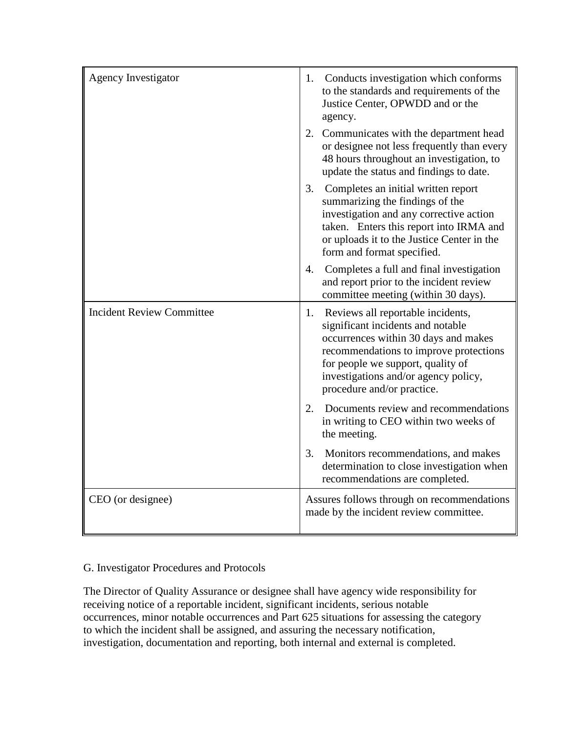| <b>Agency Investigator</b>       | Conducts investigation which conforms<br>1.<br>to the standards and requirements of the<br>Justice Center, OPWDD and or the<br>agency.                                                                                                                                    |
|----------------------------------|---------------------------------------------------------------------------------------------------------------------------------------------------------------------------------------------------------------------------------------------------------------------------|
|                                  | 2. Communicates with the department head<br>or designee not less frequently than every<br>48 hours throughout an investigation, to<br>update the status and findings to date.                                                                                             |
|                                  | 3.<br>Completes an initial written report<br>summarizing the findings of the<br>investigation and any corrective action<br>taken. Enters this report into IRMA and<br>or uploads it to the Justice Center in the<br>form and format specified.                            |
|                                  | 4.<br>Completes a full and final investigation<br>and report prior to the incident review<br>committee meeting (within 30 days).                                                                                                                                          |
| <b>Incident Review Committee</b> | Reviews all reportable incidents,<br>1.<br>significant incidents and notable<br>occurrences within 30 days and makes<br>recommendations to improve protections<br>for people we support, quality of<br>investigations and/or agency policy,<br>procedure and/or practice. |
|                                  | Documents review and recommendations<br>2.<br>in writing to CEO within two weeks of<br>the meeting.                                                                                                                                                                       |
|                                  | 3.<br>Monitors recommendations, and makes<br>determination to close investigation when<br>recommendations are completed.                                                                                                                                                  |
| CEO (or designee)                | Assures follows through on recommendations<br>made by the incident review committee.                                                                                                                                                                                      |

## G. Investigator Procedures and Protocols

The Director of Quality Assurance or designee shall have agency wide responsibility for receiving notice of a reportable incident, significant incidents, serious notable occurrences, minor notable occurrences and Part 625 situations for assessing the category to which the incident shall be assigned, and assuring the necessary notification, investigation, documentation and reporting, both internal and external is completed.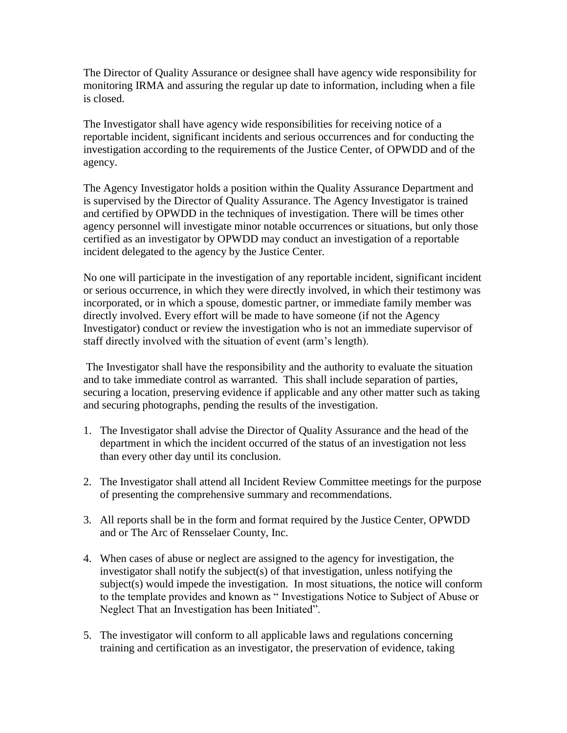The Director of Quality Assurance or designee shall have agency wide responsibility for monitoring IRMA and assuring the regular up date to information, including when a file is closed.

The Investigator shall have agency wide responsibilities for receiving notice of a reportable incident, significant incidents and serious occurrences and for conducting the investigation according to the requirements of the Justice Center, of OPWDD and of the agency.

The Agency Investigator holds a position within the Quality Assurance Department and is supervised by the Director of Quality Assurance. The Agency Investigator is trained and certified by OPWDD in the techniques of investigation. There will be times other agency personnel will investigate minor notable occurrences or situations, but only those certified as an investigator by OPWDD may conduct an investigation of a reportable incident delegated to the agency by the Justice Center.

No one will participate in the investigation of any reportable incident, significant incident or serious occurrence, in which they were directly involved, in which their testimony was incorporated, or in which a spouse, domestic partner, or immediate family member was directly involved. Every effort will be made to have someone (if not the Agency Investigator) conduct or review the investigation who is not an immediate supervisor of staff directly involved with the situation of event (arm's length).

The Investigator shall have the responsibility and the authority to evaluate the situation and to take immediate control as warranted. This shall include separation of parties, securing a location, preserving evidence if applicable and any other matter such as taking and securing photographs, pending the results of the investigation.

- 1. The Investigator shall advise the Director of Quality Assurance and the head of the department in which the incident occurred of the status of an investigation not less than every other day until its conclusion.
- 2. The Investigator shall attend all Incident Review Committee meetings for the purpose of presenting the comprehensive summary and recommendations.
- 3. All reports shall be in the form and format required by the Justice Center, OPWDD and or The Arc of Rensselaer County, Inc.
- 4. When cases of abuse or neglect are assigned to the agency for investigation, the investigator shall notify the subject(s) of that investigation, unless notifying the subject(s) would impede the investigation. In most situations, the notice will conform to the template provides and known as " Investigations Notice to Subject of Abuse or Neglect That an Investigation has been Initiated".
- 5. The investigator will conform to all applicable laws and regulations concerning training and certification as an investigator, the preservation of evidence, taking